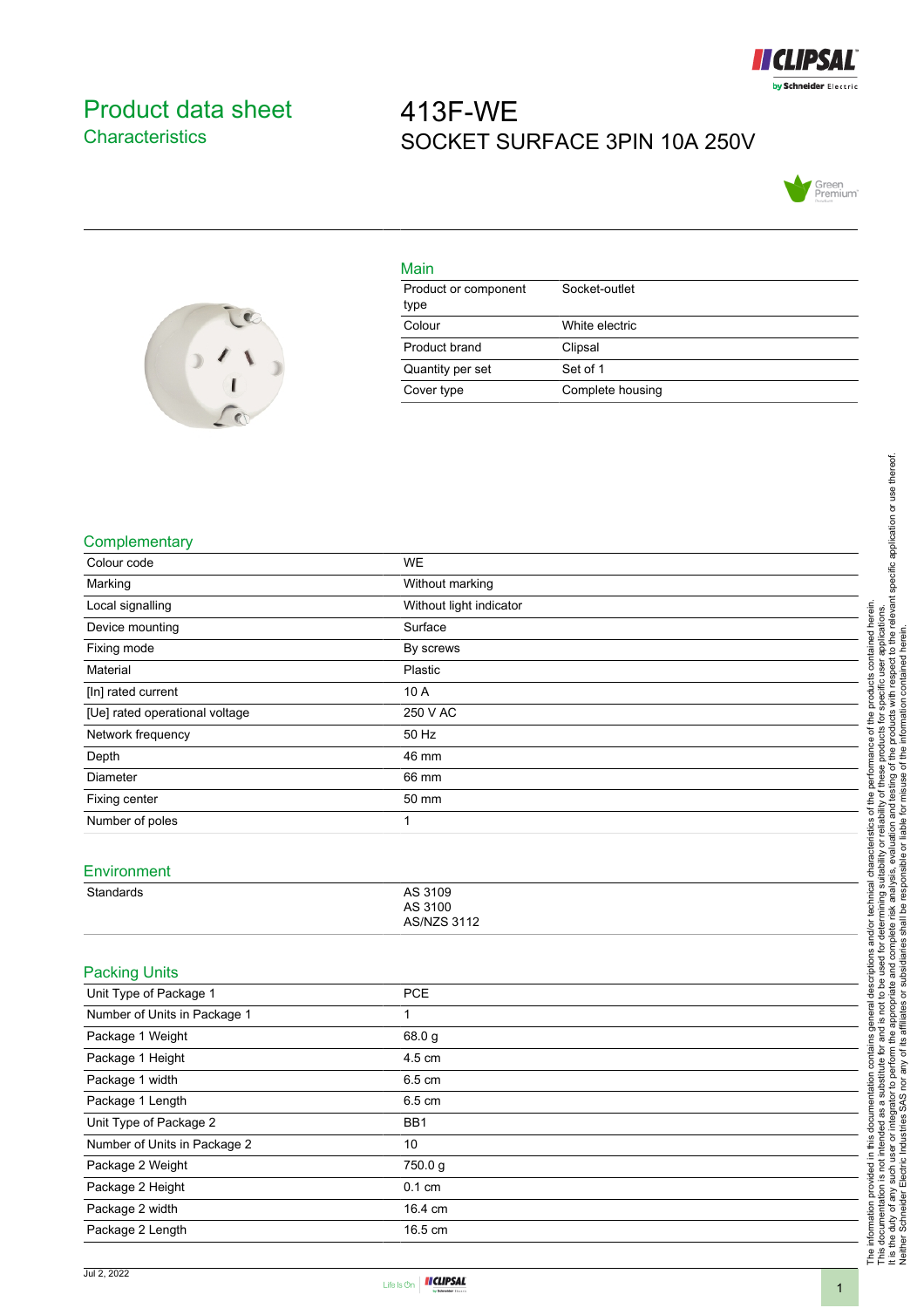

### <span id="page-0-0"></span>Product data sheet **Characteristics**

# 413F-WE SOCKET SURFACE 3PIN 10A 250V





## Main

| Product or component<br>type | Socket-outlet    |
|------------------------------|------------------|
| Colour                       | White electric   |
| Product brand                | Clipsal          |
| Quantity per set             | Set of 1         |
| Cover type                   | Complete housing |

#### **Complementary**

| Colour code                    | <b>WE</b>                                |
|--------------------------------|------------------------------------------|
| Marking                        | Without marking                          |
| Local signalling               | Without light indicator                  |
| Device mounting                | Surface                                  |
| Fixing mode                    | By screws                                |
| Material                       | Plastic                                  |
| [In] rated current             | 10 A                                     |
| [Ue] rated operational voltage | 250 V AC                                 |
| Network frequency              | 50 Hz                                    |
| Depth                          | 46 mm                                    |
| Diameter                       | 66 mm                                    |
| Fixing center                  | 50 mm                                    |
| Number of poles                | $\mathbf{1}$                             |
| Environment<br>Standards       | AS 3109<br>AS 3100<br><b>AS/NZS 3112</b> |
| <b>Packing Units</b>           |                                          |
| Unit Type of Package 1         | <b>PCE</b>                               |
| Number of Units in Package 1   | $\mathbf{1}$                             |
| Package 1 Weight               | 68.0 g                                   |
| Package 1 Height               | 4.5 cm                                   |
| Package 1 width                | 6.5 cm                                   |
| Package 1 Length               | 6.5 cm                                   |
| Unit Type of Package 2         | BB1                                      |
| Number of Units in Package 2   | 10                                       |
| Package 2 Weight               | 750.0 g                                  |
| Package 2 Height               | $0.1$ cm                                 |
| Package 2 width                | 16.4 cm                                  |
| Package 2 Length               | 16.5 cm                                  |
|                                |                                          |